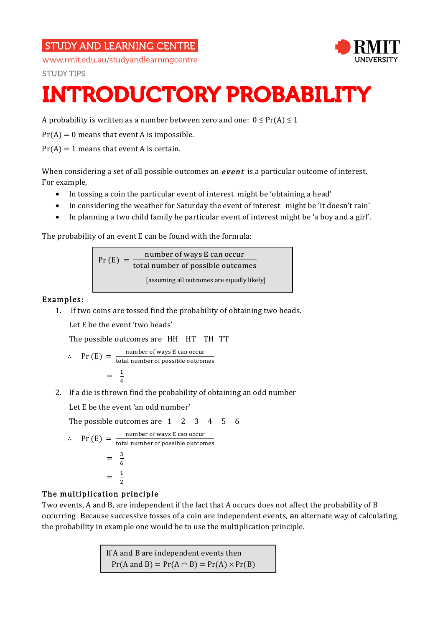## **STUDY AND LEARNING CENTRE**



**STUDY TIPS** 



# INTRODUCTORY PROBABILITY

A probability is written as a number between zero and one:  $0 \leq Pr(A) \leq 1$ 

 $Pr(A) = 0$  means that event A is impossible.

 $Pr(A) = 1$  means that event A is certain.

When considering a set of all possible outcomes an  $event$  is a particular outcome of interest. For example,

- In tossing a coin the particular event of interest might be 'obtaining a head'
- In considering the weather for Saturday the event of interest might be 'it doesn't rain'
- In planning a two child family he particular event of interest might be 'a boy and a girl'.

The probability of an event E can be found with the formula:

 $Pr(E) = \frac{number of ways E can occur}{(1 + 1)(1 + 1)}$ total number of possible outcomes [assuming all outcomes are equally likely]

## Examples:

1. If two coins are tossed find the probability of obtaining two heads.

Let E be the event 'two heads'

The possible outcomes are HH HT TH TT

$$
\therefore \quad \text{Pr (E)} = \frac{\text{number of ways E can occur}}{\text{total number of possible outcomes}}
$$
\n
$$
= \frac{1}{4}
$$

2. If a die is thrown find the probability of obtaining an odd number

Let E be the event 'an odd number'

The possible outcomes are 1 2 3 4 5 6  
\n
$$
\therefore \text{ Pr (E)} = \frac{\text{number of ways E can occur}}{\text{total number of possible outcomes}}
$$
\n
$$
= \frac{3}{6}
$$
\n
$$
= \frac{1}{2}
$$

## The multiplication principle

Two events, A and B, are independent if the fact that A occurs does not affect the probability of B occurring. Because successive tosses of a coin are independent events, an alternate way of calculating the probability in example one would be to use the multiplication principle.

> If A and B are independent events then  $Pr(A \text{ and } B) = Pr(A \cap B) = Pr(A) \times Pr(B)$